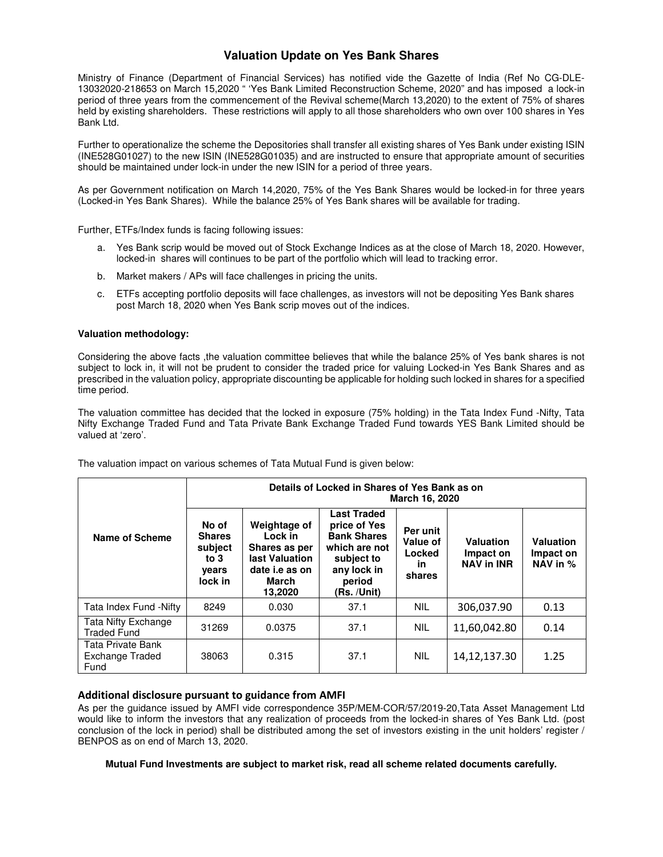## **Valuation Update on Yes Bank Shares**

Ministry of Finance (Department of Financial Services) has notified vide the Gazette of India (Ref No CG-DLE-13032020-218653 on March 15,2020 " 'Yes Bank Limited Reconstruction Scheme, 2020" and has imposed a lock-in period of three years from the commencement of the Revival scheme(March 13,2020) to the extent of 75% of shares held by existing shareholders. These restrictions will apply to all those shareholders who own over 100 shares in Yes Bank Ltd.

Further to operationalize the scheme the Depositories shall transfer all existing shares of Yes Bank under existing ISIN (INE528G01027) to the new ISIN (INE528G01035) and are instructed to ensure that appropriate amount of securities should be maintained under lock-in under the new ISIN for a period of three years.

As per Government notification on March 14,2020, 75% of the Yes Bank Shares would be locked-in for three years (Locked-in Yes Bank Shares). While the balance 25% of Yes Bank shares will be available for trading.

Further, ETFs/Index funds is facing following issues:

- a. Yes Bank scrip would be moved out of Stock Exchange Indices as at the close of March 18, 2020. However, locked-in shares will continues to be part of the portfolio which will lead to tracking error.
- b. Market makers / APs will face challenges in pricing the units.
- c. ETFs accepting portfolio deposits will face challenges, as investors will not be depositing Yes Bank shares post March 18, 2020 when Yes Bank scrip moves out of the indices.

#### **Valuation methodology:**

Considering the above facts ,the valuation committee believes that while the balance 25% of Yes bank shares is not subject to lock in, it will not be prudent to consider the traded price for valuing Locked-in Yes Bank Shares and as prescribed in the valuation policy, appropriate discounting be applicable for holding such locked in shares for a specified time period.

The valuation committee has decided that the locked in exposure (75% holding) in the Tata Index Fund -Nifty, Tata Nifty Exchange Traded Fund and Tata Private Bank Exchange Traded Fund towards YES Bank Limited should be valued at 'zero'.

| Name of Scheme                               | Details of Locked in Shares of Yes Bank as on<br>March 16, 2020 |                                                                                                  |                                                                                                                                 |                                                |                                             |                                    |
|----------------------------------------------|-----------------------------------------------------------------|--------------------------------------------------------------------------------------------------|---------------------------------------------------------------------------------------------------------------------------------|------------------------------------------------|---------------------------------------------|------------------------------------|
|                                              | No of<br><b>Shares</b><br>subject<br>to 3<br>years<br>lock in   | Weightage of<br>Lock in<br>Shares as per<br>last Valuation<br>date i.e as on<br>March<br>13,2020 | <b>Last Traded</b><br>price of Yes<br><b>Bank Shares</b><br>which are not<br>subject to<br>any lock in<br>period<br>(Rs. /Unit) | Per unit<br>Value of<br>Locked<br>in<br>shares | Valuation<br>Impact on<br><b>NAV in INR</b> | Valuation<br>Impact on<br>NAV in % |
| Tata Index Fund -Nifty                       | 8249                                                            | 0.030                                                                                            | 37.1                                                                                                                            | <b>NIL</b>                                     | 306,037.90                                  | 0.13                               |
| Tata Nifty Exchange<br><b>Traded Fund</b>    | 31269                                                           | 0.0375                                                                                           | 37.1                                                                                                                            | <b>NIL</b>                                     | 11,60,042.80                                | 0.14                               |
| Tata Private Bank<br>Exchange Traded<br>Fund | 38063                                                           | 0.315                                                                                            | 37.1                                                                                                                            | <b>NIL</b>                                     | 14, 12, 137. 30                             | 1.25                               |

The valuation impact on various schemes of Tata Mutual Fund is given below:

### Additional disclosure pursuant to guidance from AMFI

As per the guidance issued by AMFI vide correspondence 35P/MEM-COR/57/2019-20,Tata Asset Management Ltd would like to inform the investors that any realization of proceeds from the locked-in shares of Yes Bank Ltd. (post conclusion of the lock in period) shall be distributed among the set of investors existing in the unit holders' register / BENPOS as on end of March 13, 2020.

**Mutual Fund Investments are subject to market risk, read all scheme related documents carefully.**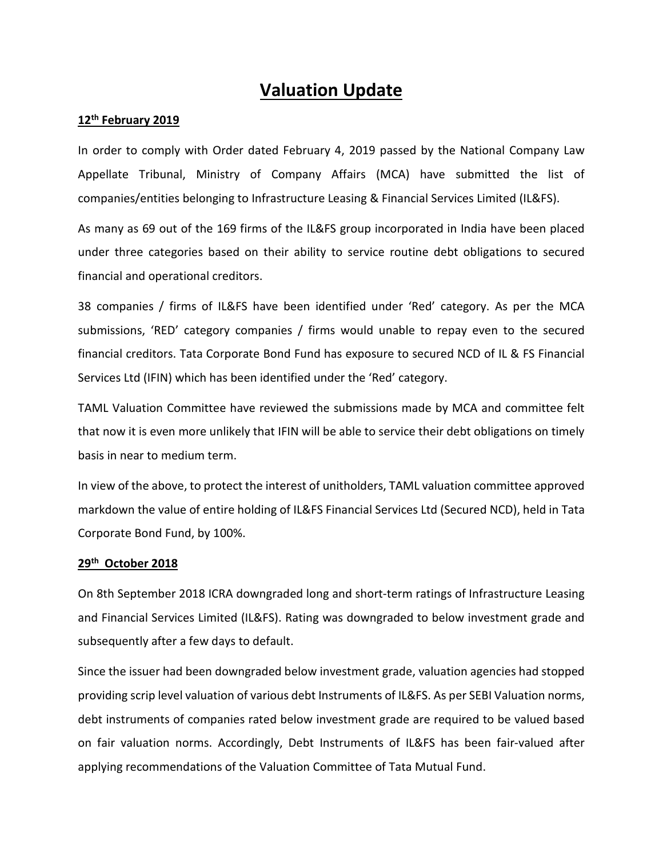# **Valuation Update**

## **12th February 2019**

In order to comply with Order dated February 4, 2019 passed by the National Company Law Appellate Tribunal, Ministry of Company Affairs (MCA) have submitted the list of companies/entities belonging to Infrastructure Leasing & Financial Services Limited (IL&FS).

As many as 69 out of the 169 firms of the IL&FS group incorporated in India have been placed under three categories based on their ability to service routine debt obligations to secured financial and operational creditors.

38 companies / firms of IL&FS have been identified under 'Red' category. As per the MCA submissions, 'RED' category companies / firms would unable to repay even to the secured financial creditors. Tata Corporate Bond Fund has exposure to secured NCD of IL & FS Financial Services Ltd (IFIN) which has been identified under the 'Red' category.

TAML Valuation Committee have reviewed the submissions made by MCA and committee felt that now it is even more unlikely that IFIN will be able to service their debt obligations on timely basis in near to medium term.

In view of the above, to protect the interest of unitholders, TAML valuation committee approved markdown the value of entire holding of IL&FS Financial Services Ltd (Secured NCD), held in Tata Corporate Bond Fund, by 100%.

## **29th October 2018**

On 8th September 2018 ICRA downgraded long and short-term ratings of Infrastructure Leasing and Financial Services Limited (IL&FS). Rating was downgraded to below investment grade and subsequently after a few days to default.

Since the issuer had been downgraded below investment grade, valuation agencies had stopped providing scrip level valuation of various debt Instruments of IL&FS. As per SEBI Valuation norms, debt instruments of companies rated below investment grade are required to be valued based on fair valuation norms. Accordingly, Debt Instruments of IL&FS has been fair-valued after applying recommendations of the Valuation Committee of Tata Mutual Fund.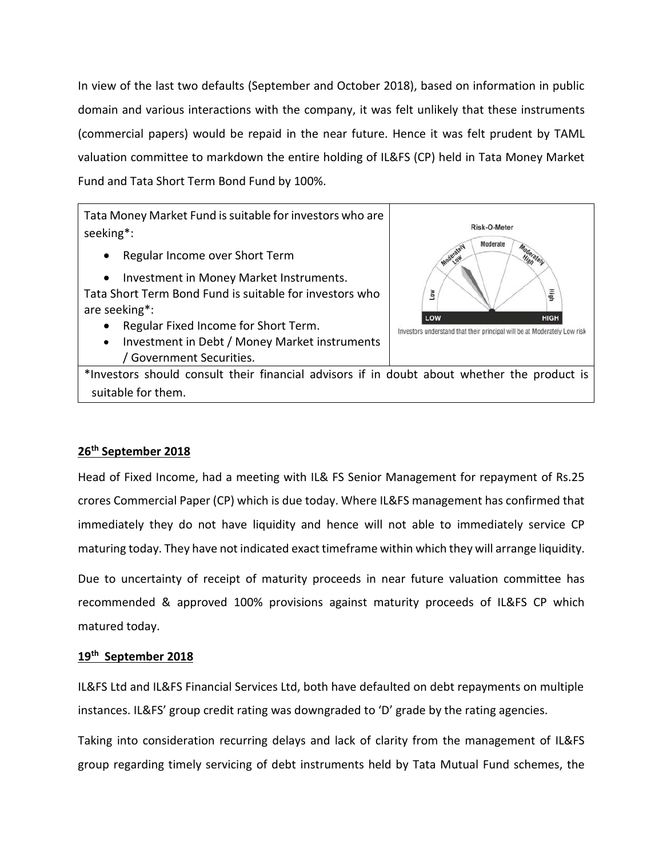In view of the last two defaults (September and October 2018), based on information in public domain and various interactions with the company, it was felt unlikely that these instruments (commercial papers) would be repaid in the near future. Hence it was felt prudent by TAML valuation committee to markdown the entire holding of IL&FS (CP) held in Tata Money Market Fund and Tata Short Term Bond Fund by 100%.

Tata Money Market Fund is suitable for investors who are seeking\*:

- Regular Income over Short Term
- Investment in Money Market Instruments.

Tata Short Term Bond Fund is suitable for investors who are seeking\*:

- Regular Fixed Income for Short Term.
- Investment in Debt / Money Market instruments / Government Securities.



\*Investors should consult their financial advisors if in doubt about whether the product is suitable for them.

# **26th September 2018**

Head of Fixed Income, had a meeting with IL& FS Senior Management for repayment of Rs.25 crores Commercial Paper (CP) which is due today. Where IL&FS management has confirmed that immediately they do not have liquidity and hence will not able to immediately service CP maturing today. They have not indicated exact timeframe within which they will arrange liquidity.

Due to uncertainty of receipt of maturity proceeds in near future valuation committee has recommended & approved 100% provisions against maturity proceeds of IL&FS CP which matured today.

## **19th September 2018**

IL&FS Ltd and IL&FS Financial Services Ltd, both have defaulted on debt repayments on multiple instances. IL&FS' group credit rating was downgraded to 'D' grade by the rating agencies.

Taking into consideration recurring delays and lack of clarity from the management of IL&FS group regarding timely servicing of debt instruments held by Tata Mutual Fund schemes, the